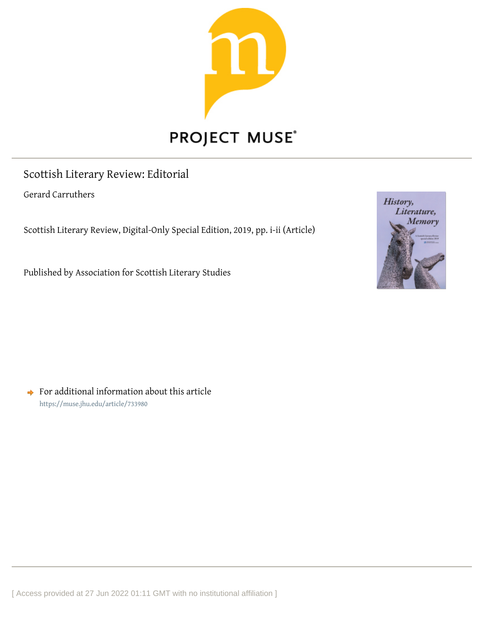

## PROJECT MUSE®

## Scottish Literary Review: Editorial

Gerard Carruthers

Scottish Literary Review, Digital-Only Special Edition, 2019, pp. i-ii (Article)

Published by Association for Scottish Literary Studies



 $\rightarrow$  For additional information about this article <https://muse.jhu.edu/article/733980>

[ Access provided at 27 Jun 2022 01:11 GMT with no institutional affiliation ]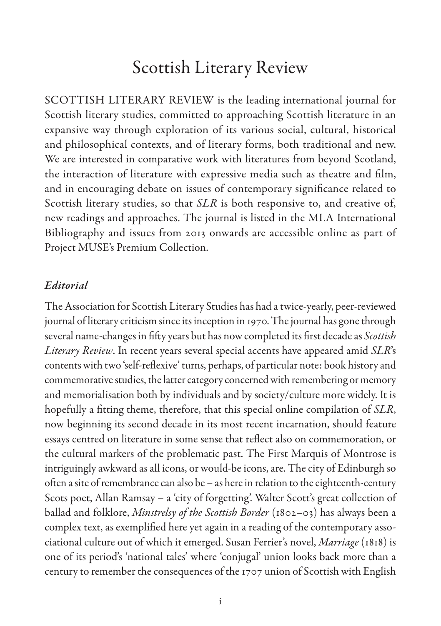## Scottish Literary Review

SCOTTISH LITERARY REVIEW is the leading international journal for Scottish literary studies, committed to approaching Scottish literature in an expansive way through exploration of its various social, cultural, historical and philosophical contexts, and of literary forms, both traditional and new. We are interested in comparative work with literatures from beyond Scotland, the interaction of literature with expressive media such as theatre and film, and in encouraging debate on issues of contemporary significance related to Scottish literary studies, so that *SLR* is both responsive to, and creative of, new readings and approaches. The journal is listed in the MLA International Bibliography and issues from 2013 onwards are accessible online as part of Project MUSE's Premium Collection.

## *Editorial*

The Association for Scottish Literary Studies has had a twice-yearly, peer-reviewed journal of literary criticism since its inception in 1970. The journal has gone through several name-changes in fifty years but has now completed its first decade as *Scottish Literary Review*. In recent years several special accents have appeared amid *SLR*'s contents with two 'self-reflexive' turns, perhaps, of particular note: book history and commemorative studies, the latter category concerned with remembering or memory and memorialisation both by individuals and by society/culture more widely. It is hopefully a fitting theme, therefore, that this special online compilation of *SLR*, now beginning its second decade in its most recent incarnation, should feature essays centred on literature in some sense that reflect also on commemoration, or the cultural markers of the problematic past. The First Marquis of Montrose is intriguingly awkward as all icons, or would-be icons, are. The city of Edinburgh so often a site of remembrance can also be – as here in relation to the eighteenth-century Scots poet, Allan Ramsay – a 'city of forgetting'. Walter Scott's great collection of ballad and folklore, *Minstrelsy of the Scottish Border* (1802–03) has always been a complex text, as exemplified here yet again in a reading of the contemporary associational culture out of which it emerged. Susan Ferrier's novel, *Marriage* (1818) is one of its period's 'national tales' where 'conjugal' union looks back more than a century to remember the consequences of the 1707 union of Scottish with English